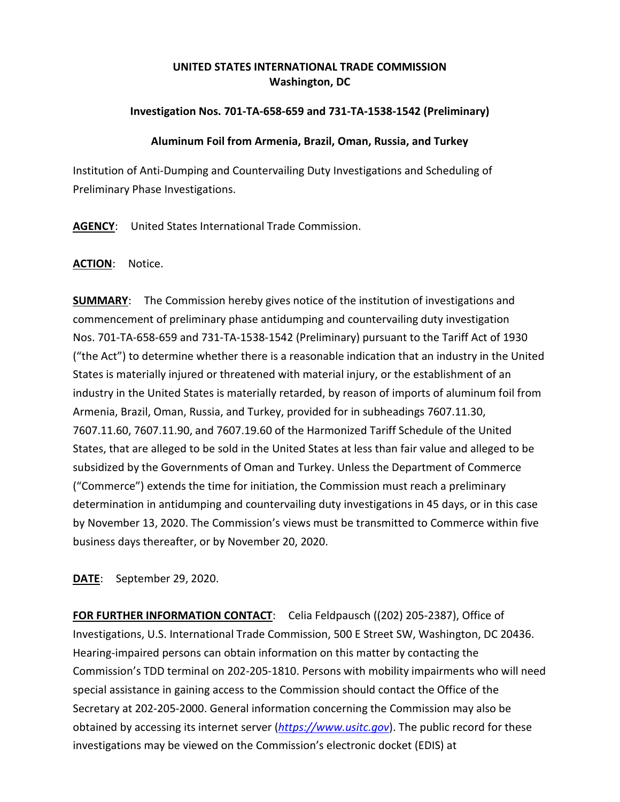# **UNITED STATES INTERNATIONAL TRADE COMMISSION Washington, DC**

## **Investigation Nos. 701-TA-658-659 and 731-TA-1538-1542 (Preliminary)**

#### **Aluminum Foil from Armenia, Brazil, Oman, Russia, and Turkey**

Institution of Anti-Dumping and Countervailing Duty Investigations and Scheduling of Preliminary Phase Investigations.

**AGENCY**: United States International Trade Commission.

### **ACTION**: Notice.

**SUMMARY:** The Commission hereby gives notice of the institution of investigations and commencement of preliminary phase antidumping and countervailing duty investigation Nos. 701-TA-658-659 and 731-TA-1538-1542 (Preliminary) pursuant to the Tariff Act of 1930 ("the Act") to determine whether there is a reasonable indication that an industry in the United States is materially injured or threatened with material injury, or the establishment of an industry in the United States is materially retarded, by reason of imports of aluminum foil from Armenia, Brazil, Oman, Russia, and Turkey, provided for in subheadings 7607.11.30, 7607.11.60, 7607.11.90, and 7607.19.60 of the Harmonized Tariff Schedule of the United States, that are alleged to be sold in the United States at less than fair value and alleged to be subsidized by the Governments of Oman and Turkey. Unless the Department of Commerce ("Commerce") extends the time for initiation, the Commission must reach a preliminary determination in antidumping and countervailing duty investigations in 45 days, or in this case by November 13, 2020. The Commission's views must be transmitted to Commerce within five business days thereafter, or by November 20, 2020.

**DATE**: September 29, 2020.

**FOR FURTHER INFORMATION CONTACT**: Celia Feldpausch ((202) 205-2387), Office of Investigations, U.S. International Trade Commission, 500 E Street SW, Washington, DC 20436. Hearing-impaired persons can obtain information on this matter by contacting the Commission's TDD terminal on 202-205-1810. Persons with mobility impairments who will need special assistance in gaining access to the Commission should contact the Office of the Secretary at 202-205-2000. General information concerning the Commission may also be obtained by accessing its internet server (*[https://www.usitc.gov](https://www.usitc.gov/)*). The public record for these investigations may be viewed on the Commission's electronic docket (EDIS) at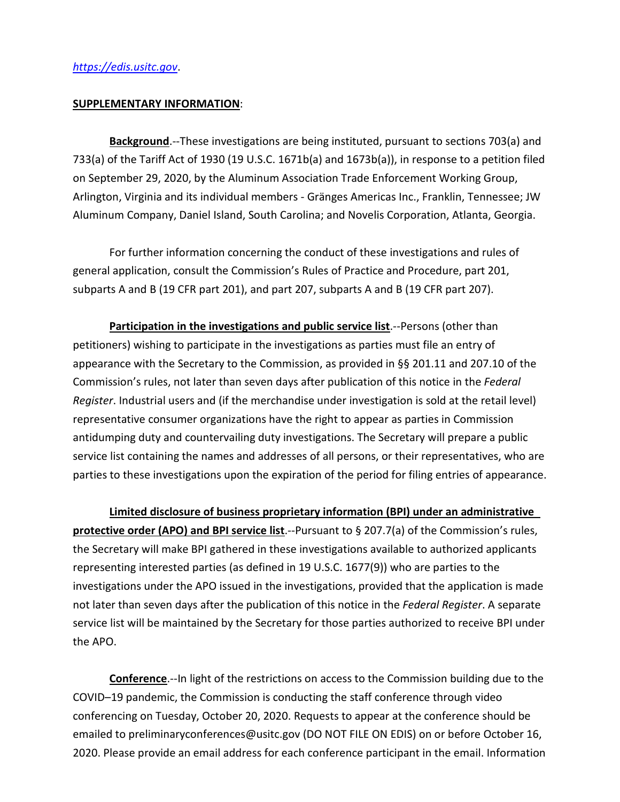#### **SUPPLEMENTARY INFORMATION**:

**Background**.--These investigations are being instituted, pursuant to sections 703(a) and 733(a) of the Tariff Act of 1930 (19 U.S.C. 1671b(a) and 1673b(a)), in response to a petition filed on September 29, 2020, by the Aluminum Association Trade Enforcement Working Group, Arlington, Virginia and its individual members - Gränges Americas Inc., Franklin, Tennessee; JW Aluminum Company, Daniel Island, South Carolina; and Novelis Corporation, Atlanta, Georgia.

For further information concerning the conduct of these investigations and rules of general application, consult the Commission's Rules of Practice and Procedure, part 201, subparts A and B (19 CFR part 201), and part 207, subparts A and B (19 CFR part 207).

**Participation in the investigations and public service list**.--Persons (other than petitioners) wishing to participate in the investigations as parties must file an entry of appearance with the Secretary to the Commission, as provided in §§ 201.11 and 207.10 of the Commission's rules, not later than seven days after publication of this notice in the *Federal Register*. Industrial users and (if the merchandise under investigation is sold at the retail level) representative consumer organizations have the right to appear as parties in Commission antidumping duty and countervailing duty investigations. The Secretary will prepare a public service list containing the names and addresses of all persons, or their representatives, who are parties to these investigations upon the expiration of the period for filing entries of appearance.

**Limited disclosure of business proprietary information (BPI) under an administrative protective order (APO) and BPI service list**.--Pursuant to § 207.7(a) of the Commission's rules, the Secretary will make BPI gathered in these investigations available to authorized applicants representing interested parties (as defined in 19 U.S.C. 1677(9)) who are parties to the investigations under the APO issued in the investigations, provided that the application is made not later than seven days after the publication of this notice in the *Federal Register*. A separate service list will be maintained by the Secretary for those parties authorized to receive BPI under the APO.

**Conference**.--In light of the restrictions on access to the Commission building due to the COVID–19 pandemic, the Commission is conducting the staff conference through video conferencing on Tuesday, October 20, 2020. Requests to appear at the conference should be emailed to preliminaryconferences@usitc.gov (DO NOT FILE ON EDIS) on or before October 16, 2020. Please provide an email address for each conference participant in the email. Information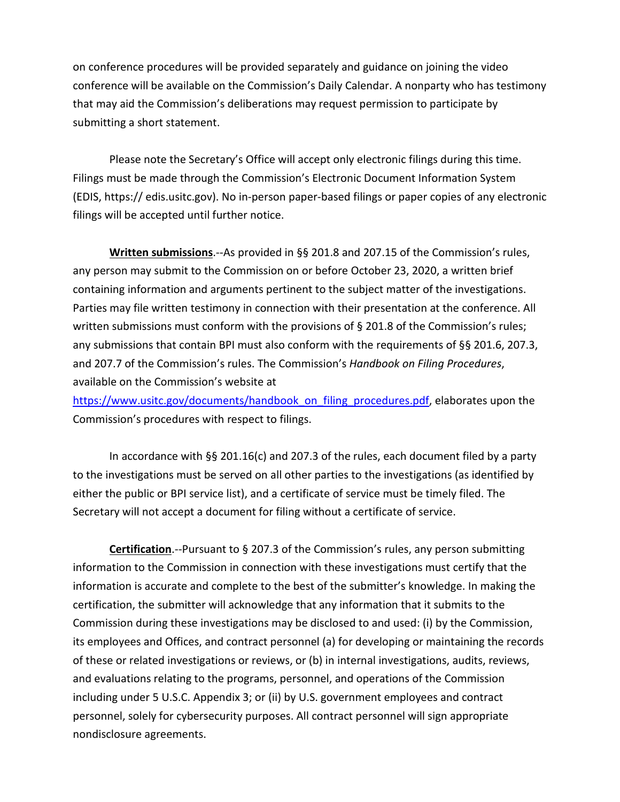on conference procedures will be provided separately and guidance on joining the video conference will be available on the Commission's Daily Calendar. A nonparty who has testimony that may aid the Commission's deliberations may request permission to participate by submitting a short statement.

Please note the Secretary's Office will accept only electronic filings during this time. Filings must be made through the Commission's Electronic Document Information System (EDIS, https:// edis.usitc.gov). No in-person paper-based filings or paper copies of any electronic filings will be accepted until further notice.

**Written submissions**.--As provided in §§ 201.8 and 207.15 of the Commission's rules, any person may submit to the Commission on or before October 23, 2020, a written brief containing information and arguments pertinent to the subject matter of the investigations. Parties may file written testimony in connection with their presentation at the conference. All written submissions must conform with the provisions of § 201.8 of the Commission's rules; any submissions that contain BPI must also conform with the requirements of §§ 201.6, 207.3, and 207.7 of the Commission's rules. The Commission's *Handbook on Filing Procedures*, available on the Commission's website at

[https://www.usitc.gov/documents/handbook\\_on\\_filing\\_procedures.pdf,](https://www.usitc.gov/documents/handbook_on_filing_procedures.pdf) elaborates upon the Commission's procedures with respect to filings.

In accordance with §§ 201.16(c) and 207.3 of the rules, each document filed by a party to the investigations must be served on all other parties to the investigations (as identified by either the public or BPI service list), and a certificate of service must be timely filed. The Secretary will not accept a document for filing without a certificate of service.

**Certification**.--Pursuant to § 207.3 of the Commission's rules, any person submitting information to the Commission in connection with these investigations must certify that the information is accurate and complete to the best of the submitter's knowledge. In making the certification, the submitter will acknowledge that any information that it submits to the Commission during these investigations may be disclosed to and used: (i) by the Commission, its employees and Offices, and contract personnel (a) for developing or maintaining the records of these or related investigations or reviews, or (b) in internal investigations, audits, reviews, and evaluations relating to the programs, personnel, and operations of the Commission including under 5 U.S.C. Appendix 3; or (ii) by U.S. government employees and contract personnel, solely for cybersecurity purposes. All contract personnel will sign appropriate nondisclosure agreements.